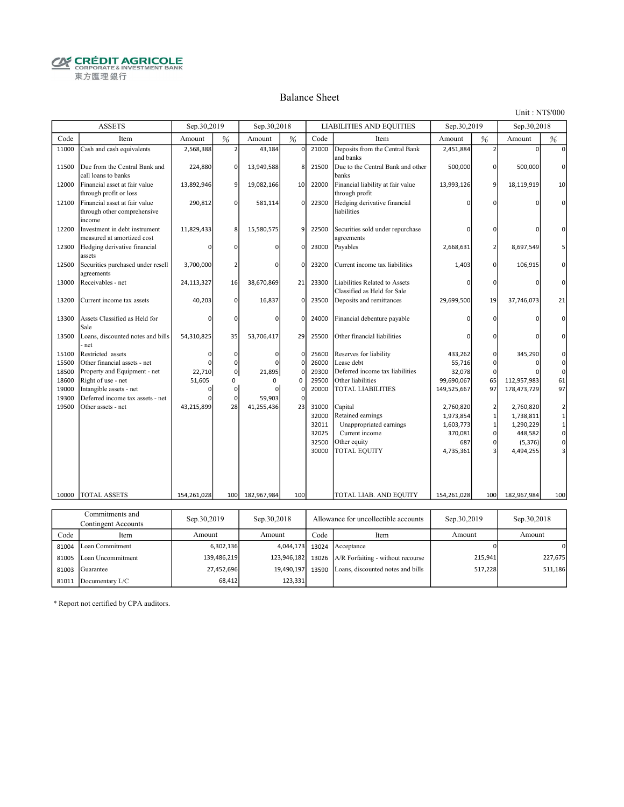**CRÉDIT AGRICOLE** 東方匯理銀行

#### Balance Sheet

Unit : NT\$'000

|       | <b>ASSETS</b>                                                          | Sep.30,2019      |                | Sep.30,2018      |             |       | <b>LIABILITIES AND EQUITIES</b>                              | Sep.30,2019      |                | Sep.30,2018      |              |
|-------|------------------------------------------------------------------------|------------------|----------------|------------------|-------------|-------|--------------------------------------------------------------|------------------|----------------|------------------|--------------|
| Code  | Item                                                                   | Amount           | %              | Amount           | %           | Code  | Item                                                         | Amount           | %              | Amount           | $\%$         |
| 11000 | Cash and cash equivalents                                              | 2,568,388        | 2 <sup>1</sup> | 43,184           | $\mathbf 0$ | 21000 | Deposits from the Central Bank<br>and banks                  | 2,451,884        | 2 <sup>1</sup> | $\Omega$         | O            |
| 11500 | Due from the Central Bank and<br>call loans to banks                   | 224,880          | $\Omega$       | 13,949,588       | 8           | 21500 | Due to the Central Bank and other<br>banks                   | 500,000          | οI             | 500,000          | 0            |
| 12000 | Financial asset at fair value<br>through profit or loss                | 13,892,946       | 9              | 19,082,166       | 10          | 22000 | Financial liability at fair value<br>through profit          | 13,993,126       | $\overline{9}$ | 18,119,919       | 10           |
| 12100 | Financial asset at fair value<br>through other comprehensive<br>income | 290,812          | $\Omega$       | 581,114          | $\mathbf 0$ | 22300 | Hedging derivative financial<br>liabilities                  | ŋ                | 0              |                  | 0            |
| 12200 | Investment in debt instrument<br>measured at amortized cost            | 11,829,433       | 8 <sup>2</sup> | 15,580,575       | 9           | 22500 | Securities sold under repurchase<br>agreements               | O                | 0              | 0                | O            |
| 12300 | Hedging derivative financial<br>assets                                 | 0                | 0              | $\Omega$         | 0           | 23000 | Payables                                                     | 2,668,631        | $\overline{2}$ | 8,697,549        | 5            |
| 12500 | Securities purchased under resell<br>agreements                        | 3,700,000        | 2              | n                | O           | 23200 | Current income tax liabilities                               | 1,403            | οI             | 106,915          | 0            |
| 13000 | Receivables - net                                                      | 24,113,327       | 16             | 38,670,869       | 21          | 23300 | Liabilities Related to Assets<br>Classified as Held for Sale | ŋ                | $\overline{0}$ |                  | $\Omega$     |
| 13200 | Current income tax assets                                              | 40,203           | $\Omega$       | 16,837           | $\mathbf 0$ | 23500 | Deposits and remittances                                     | 29,699,500       | 19             | 37,746,073       | 21           |
| 13300 | Assets Classified as Held for<br>Sale                                  | n                | $\Omega$       | n                | 0           | 24000 | Financial debenture payable                                  | n                | 0              |                  | $\mathbf 0$  |
| 13500 | Loans, discounted notes and bills<br>net                               | 54,310,825       | 35             | 53,706,417       | 29          | 25500 | Other financial liabilities                                  |                  | 0              |                  | $\Omega$     |
| 15100 | Restricted assets                                                      | 0                | $\Omega$       | $\mathbf 0$      | 0           | 25600 | Reserves for liability                                       | 433,262          | $\overline{0}$ | 345,290          | 0            |
| 15500 | Other financial assets - net                                           | O                | $\Omega$       | $\Omega$         | 0           | 26000 | Lease debt                                                   | 55,716           | $\overline{0}$ | 0                | $\mathbf 0$  |
| 18500 | Property and Equipment - net                                           | 22,710           | $\circ$        | 21,895           | $\Omega$    | 29300 | Deferred income tax liabilities                              | 32,078           | $\Omega$       |                  | $\mathbf{0}$ |
| 18600 | Right of use - net                                                     | 51,605           | 0              | <sup>0</sup>     | 0           | 29500 | Other liabilities                                            | 99,690,067       | 65             | 112,957,983      | 61           |
| 19000 | Intangible assets - net                                                | 0                | $\Omega$       | $\Omega$         | 0           | 20000 | TOTAL LIABILITIES                                            | 149,525,667      | 97             | 178,473,729      | 97           |
| 19300 | Deferred income tax assets - net                                       |                  | $\Omega$       | 59,903           | 0           |       |                                                              |                  |                |                  |              |
| 19500 | Other assets - net                                                     | 43,215,899       | 28             | 41,255,436       | 23          | 31000 | Capital                                                      | 2,760,820        | 2              | 2,760,820        | 2            |
|       |                                                                        |                  |                |                  |             | 32000 | Retained earnings                                            | 1,973,854        | $\overline{1}$ | 1,738,811        | $\mathbf 1$  |
|       |                                                                        |                  |                |                  |             | 32011 | Unappropriated earnings                                      | 1,603,773        | 1              | 1,290,229        | $\mathbf 1$  |
|       |                                                                        |                  |                |                  |             | 32025 | Current income                                               | 370,081          | $\overline{0}$ | 448,582          | $\mathbf{0}$ |
|       |                                                                        |                  |                |                  |             | 32500 | Other equity                                                 | 687              | $\overline{0}$ | (5, 376)         | $\mathsf{o}$ |
|       |                                                                        |                  |                |                  |             | 30000 | TOTAL EQUITY                                                 | 4,735,361        | 3              | 4,494,255        | 3            |
|       |                                                                        |                  |                |                  |             |       |                                                              |                  |                |                  |              |
| 10000 | TOTAL ASSETS                                                           | 154,261,028      | 100            | 182,967,984      | 100         |       | TOTAL LIAB. AND EQUITY                                       | 154,261,028      | 100            | 182,967,984      | 100          |
|       |                                                                        |                  |                |                  |             |       |                                                              |                  |                |                  |              |
|       | Commitments and                                                        | $S_{20}$ 20.2010 |                | $S_{24}$ 20.2019 |             |       | Allowanog for woodlootikle accounts                          | $S_{20}$ 20.2010 |                | $S_{20}$ 20.2019 |              |

| Commitments and<br>Contingent Accounts |                         | Sep.30,2019 | Allowance for uncollectible accounts<br>Sep.30,2018 |       | Sep.30,2019                               | Sep.30,2018 |         |
|----------------------------------------|-------------------------|-------------|-----------------------------------------------------|-------|-------------------------------------------|-------------|---------|
| Code                                   | Item                    | Amount      | Amount                                              | Code  | Item                                      | Amount      | Amount  |
|                                        | 81004 Loan Commitment   | 6,302,136   | 4,044,173                                           | 13024 | Acceptance                                |             | 0       |
|                                        | 81005 Loan Uncommitment | 139,486,219 | 123,946,182                                         |       | 13026 $A/R$ Forfaiting - without recourse | 215,941     | 227,675 |
|                                        | 81003 Guarantee         | 27,452,696  | 19,490,197                                          | 13590 | Loans, discounted notes and bills         | 517,228     | 511,186 |
|                                        | 81011 Documentary L/C   | 68,412      | 123,331                                             |       |                                           |             |         |

\* Report not certified by CPA auditors.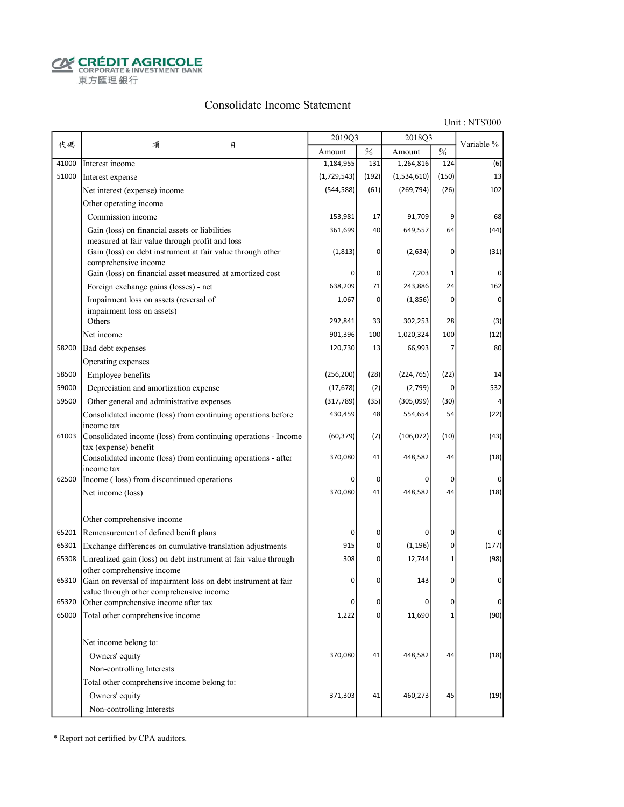**CRÉDIT AGRICOLE** 東方匯理銀行

#### Consolidate Income Statement

Unit : NT\$'000

|       |                                                                                                                                      | 2019Q3      |                | 2018O3      |              |                |
|-------|--------------------------------------------------------------------------------------------------------------------------------------|-------------|----------------|-------------|--------------|----------------|
| 代碼    | 目<br>項                                                                                                                               | Amount      | $\%$           | Amount      | $\%$         | Variable %     |
| 41000 | Interest income                                                                                                                      | 1,184,955   | 131            | 1,264,816   | 124          | (6)            |
| 51000 | Interest expense                                                                                                                     | (1,729,543) | (192)          | (1,534,610) | (150)        | 13             |
|       | Net interest (expense) income                                                                                                        | (544, 588)  | (61)           | (269, 794)  | (26)         | 102            |
|       | Other operating income                                                                                                               |             |                |             |              |                |
|       | Commission income                                                                                                                    | 153,981     | 17             | 91,709      | 9            | 68             |
|       | Gain (loss) on financial assets or liabilities                                                                                       | 361,699     | 40             | 649,557     | 64           | (44)           |
|       | measured at fair value through profit and loss<br>Gain (loss) on debt instrument at fair value through other<br>comprehensive income | (1, 813)    | 0              | (2,634)     | 0            | (31)           |
|       | Gain (loss) on financial asset measured at amortized cost                                                                            |             | 0              | 7,203       | 1            | $\Omega$       |
|       | Foreign exchange gains (losses) - net                                                                                                | 638,209     | 71             | 243,886     | 24           | 162            |
|       | Impairment loss on assets (reversal of                                                                                               | 1,067       | 0              | (1,856)     | 0            | $\overline{0}$ |
|       | impairment loss on assets)                                                                                                           |             |                |             |              |                |
|       | Others                                                                                                                               | 292,841     | 33             | 302,253     | 28           | (3)            |
|       | Net income                                                                                                                           | 901,396     | 100            | 1,020,324   | 100          | (12)           |
| 58200 | Bad debt expenses                                                                                                                    | 120,730     | 13             | 66,993      | 7            | 80             |
|       | Operating expenses                                                                                                                   |             |                |             |              |                |
| 58500 | Employee benefits                                                                                                                    | (256, 200)  | (28)           | (224, 765)  | (22)         | 14             |
| 59000 | Depreciation and amortization expense                                                                                                | (17, 678)   | (2)            | (2,799)     | 0            | 532            |
| 59500 | Other general and administrative expenses                                                                                            | (317, 789)  | (35)           | (305,099)   | (30)         |                |
|       | Consolidated income (loss) from continuing operations before                                                                         | 430,459     | 48             | 554,654     | 54           | (22)           |
| 61003 | income tax<br>Consolidated income (loss) from continuing operations - Income                                                         | (60, 379)   | (7)            | (106, 072)  | (10)         | (43)           |
|       | tax (expense) benefit<br>Consolidated income (loss) from continuing operations - after                                               | 370,080     | 41             | 448,582     | 44           | (18)           |
| 62500 | income tax<br>Income (loss) from discontinued operations                                                                             |             | 0              | 0           | 0            | $\Omega$       |
|       | Net income (loss)                                                                                                                    | 370,080     | 41             | 448,582     | 44           | (18)           |
|       | Other comprehensive income                                                                                                           |             |                |             |              |                |
| 65201 | Remeasurement of defined benift plans                                                                                                | 0           | $\overline{0}$ | 0           | 0            | $\Omega$       |
| 65301 | Exchange differences on cumulative translation adjustments                                                                           | 915         | 0              | (1, 196)    | 0            | (177)          |
| 65308 | Unrealized gain (loss) on debt instrument at fair value through                                                                      | 308         | 0              | 12,744      | $\mathbf{1}$ | (98)           |
|       | other comprehensive income                                                                                                           |             |                |             |              |                |
| 65310 | Gain on reversal of impairment loss on debt instrument at fair<br>value through other comprehensive income                           | $\Omega$    | 0              | 143         | 0            | 0              |
| 65320 | Other comprehensive income after tax                                                                                                 | 0           | 0              | 0           | 0            | $\Omega$       |
| 65000 | Total other comprehensive income                                                                                                     | 1,222       | $\overline{0}$ | 11,690      | $\mathbf 1$  | (90)           |
|       | Net income belong to:                                                                                                                |             |                |             |              |                |
|       | Owners' equity                                                                                                                       | 370,080     | 41             | 448,582     | 44           | (18)           |
|       | Non-controlling Interests                                                                                                            |             |                |             |              |                |
|       | Total other comprehensive income belong to:                                                                                          |             |                |             |              |                |
|       | Owners' equity                                                                                                                       | 371,303     | 41             | 460,273     | 45           | (19)           |
|       | Non-controlling Interests                                                                                                            |             |                |             |              |                |
|       |                                                                                                                                      |             |                |             |              |                |

\* Report not certified by CPA auditors.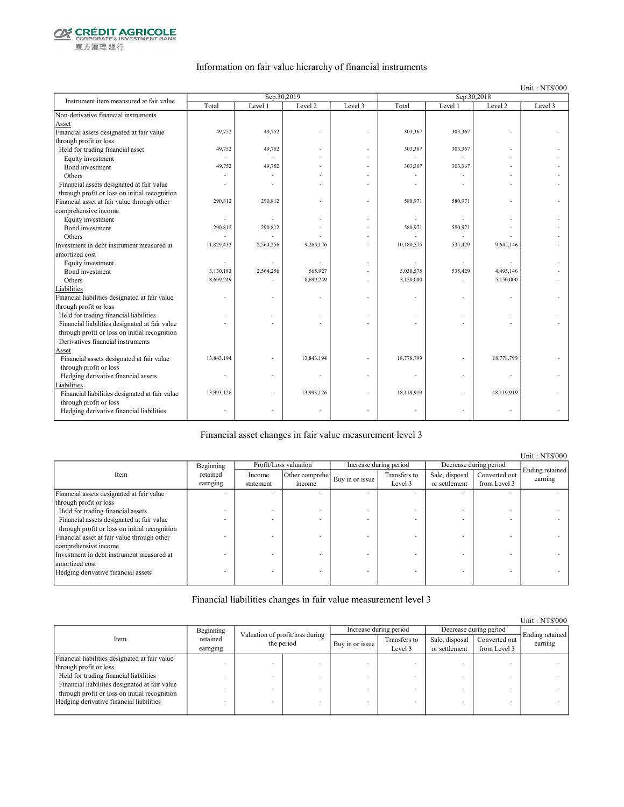

東方匯理銀行

#### Information on fair value hierarchy of financial instruments

Unit : NT\$'000

| Instrument item meansured at fair value        |            | Sep.30,2019 |            |         |            | Sep.30,2018 |            |         |
|------------------------------------------------|------------|-------------|------------|---------|------------|-------------|------------|---------|
|                                                | Total      | Level 1     | Level 2    | Level 3 | Total      | Level 1     | Level 2    | Level 3 |
| Non-derivative financial instruments           |            |             |            |         |            |             |            |         |
| Asset                                          |            |             |            |         |            |             |            |         |
| Financial assets designated at fair value      | 49,752     | 49,752      |            |         | 303,367    | 303,367     |            |         |
| through profit or loss                         |            |             |            |         |            |             |            |         |
| Held for trading financial asset               | 49,752     | 49,752      |            |         | 303,367    | 303,367     |            |         |
| Equity investment                              |            |             |            |         |            |             |            |         |
| Bond investment                                | 49,752     | 49,752      |            |         | 303,367    | 303,367     |            |         |
| Others                                         |            |             |            |         |            |             |            |         |
| Financial assets designated at fair value      |            |             |            |         |            |             |            |         |
| through profit or loss on initial recognition  |            |             |            |         |            |             |            |         |
| Financial asset at fair value through other    | 290,812    | 290,812     |            |         | 580,971    | 580,971     |            |         |
| comprehensive income                           |            |             |            |         |            |             |            |         |
| Equity investment                              |            |             |            |         |            |             |            |         |
| Bond investment                                | 290,812    | 290,812     |            |         | 580,971    | 580,971     |            |         |
| Others                                         |            |             |            |         |            |             |            |         |
| Investment in debt instrument measured at      | 11,829,432 | 2,564,256   | 9,265,176  |         | 10,180,575 | 535,429     | 9,645,146  |         |
| amortized cost                                 |            |             |            |         |            |             |            |         |
| Equity investment                              | ä,         |             |            |         |            |             |            |         |
| Bond investment                                | 3,130,183  | 2,564,256   | 565,927    |         | 5,030,575  | 535,429     | 4,495,146  |         |
| Others                                         | 8,699,249  |             | 8,699,249  |         | 5,150,000  |             | 5,150,000  |         |
| Liabilities                                    |            |             |            |         |            |             |            |         |
| Financial liabilities designated at fair value |            |             |            |         |            |             |            |         |
| through profit or loss                         |            |             |            |         |            |             |            |         |
| Held for trading financial liabilities         |            |             |            |         |            |             |            |         |
| Financial liabilities designated at fair value |            |             |            |         |            |             |            |         |
| through profit or loss on initial recognition  |            |             |            |         |            |             |            |         |
| Derivatives financial instruments              |            |             |            |         |            |             |            |         |
| Asset                                          |            |             |            |         |            |             |            |         |
| Financial assets designated at fair value      | 13,843,194 |             | 13,843,194 |         | 18,778,799 |             | 18,778,799 |         |
| through profit or loss                         |            |             |            |         |            |             |            |         |
| Hedging derivative financial assets            |            |             |            |         |            |             |            |         |
| Liabilities                                    |            |             |            |         |            |             |            |         |
| Financial liabilities designated at fair value | 13,993,126 |             | 13,993,126 |         | 18,119,919 | ä,          | 18,119,919 |         |
| through profit or loss                         |            |             |            |         |            |             |            |         |
| Hedging derivative financial liabilities       |            |             |            |         |            | ä,          | $\sim$     |         |
|                                                |            |             |            |         |            |             |            |         |

Financial asset changes in fair value measurement level 3

Income statement Other comprehe  $\begin{array}{c|c}\n\text{er complete} \\
\text{if the same line} \\
\text{if the same line} \\
\end{array}$ Level 3 Sale, disposal or settlement Converted out from Level 3 Financial assets designated at fair value through profit or loss - - - - - - - - Held for trading financial assets  $\blacksquare$ <br>Financial assets designated at fair value Financial assets designated at fair value through profit or loss on initial recognition - - - - - - - - Financial asset at fair value through other comprehensive income - - - - - - - - Investment in debt instrument measured at amortized cost - - - - - - - - Hedging derivative financial assets Item Profit/Loss valuation Increase during period Decrease during period Ending retained earning Beginning retained earnging

Financial liabilities changes in fair value measurement level 3

|                                                |                      |                                               |  |                        |                         |                                 |                               | Unit: NT\$000              |
|------------------------------------------------|----------------------|-----------------------------------------------|--|------------------------|-------------------------|---------------------------------|-------------------------------|----------------------------|
|                                                | Beginning            |                                               |  | Increase during period |                         | Decrease during period          |                               |                            |
| Item                                           | retained<br>earnging | Valuation of profit/loss during<br>the period |  | Buy in or issue        | Transfers to<br>Level 3 | Sale, disposal<br>or settlement | Converted out<br>from Level 3 | Ending retained<br>earning |
| Financial liabilities designated at fair value |                      |                                               |  |                        |                         |                                 |                               |                            |
| through profit or loss                         |                      |                                               |  |                        |                         |                                 |                               |                            |
| Held for trading financial liabilities         |                      |                                               |  |                        |                         |                                 |                               |                            |
| Financial liabilities designated at fair value |                      |                                               |  |                        |                         |                                 |                               |                            |
| through profit or loss on initial recognition  |                      |                                               |  |                        |                         |                                 |                               |                            |
| Hedging derivative financial liabilities       |                      |                                               |  |                        |                         |                                 | -                             |                            |
|                                                |                      |                                               |  |                        |                         |                                 |                               |                            |

Unit : NT\$'000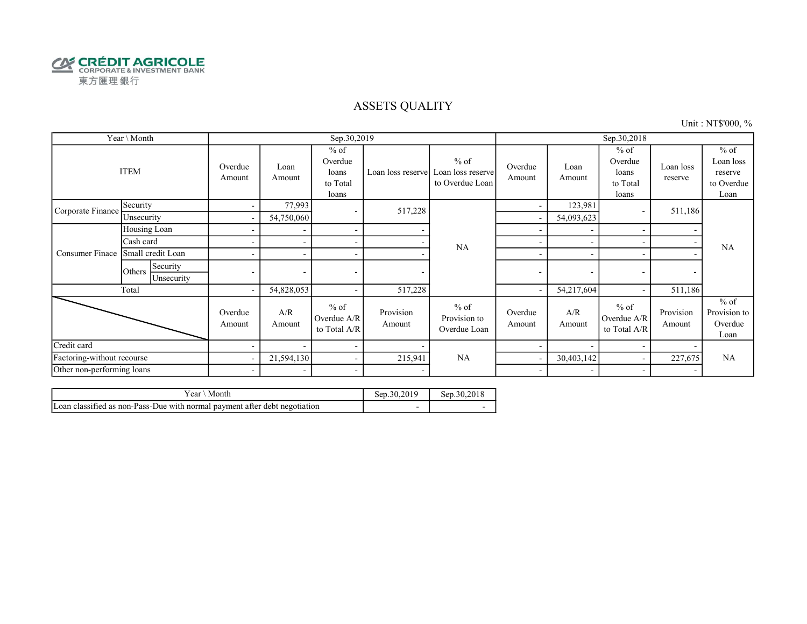

#### ASSETS QUALITY

Unit : NT\$'000, %

|                            | Year \ Month                     |                          |                          | Sep.30,2019                                     |                     |                                                | Sep.30,2018              |                          |                                                 |                      |                                                      |
|----------------------------|----------------------------------|--------------------------|--------------------------|-------------------------------------------------|---------------------|------------------------------------------------|--------------------------|--------------------------|-------------------------------------------------|----------------------|------------------------------------------------------|
| <b>ITEM</b>                |                                  | Overdue<br>Amount        | Loan<br>Amount           | $%$ of<br>Overdue<br>loans<br>to Total<br>loans | Loan loss reserve   | $%$ of<br>Loan loss reserve<br>to Overdue Loan | Overdue<br>Amount        | Loan<br>Amount           | $%$ of<br>Overdue<br>loans<br>to Total<br>loans | Loan loss<br>reserve | $%$ of<br>Loan loss<br>reserve<br>to Overdue<br>Loan |
| Corporate Finance          | Security                         | $\sim$                   | 77,993                   | $\sim$                                          | 517,228             |                                                | ۰                        | 123,981                  |                                                 | 511,186              |                                                      |
|                            | Unsecurity                       | $\sim$                   | 54,750,060               |                                                 |                     |                                                |                          | 54,093,623               |                                                 |                      |                                                      |
|                            | Housing Loan                     | $\overline{\phantom{a}}$ | $\overline{\phantom{a}}$ | $\sim$                                          |                     |                                                |                          |                          |                                                 | -                    |                                                      |
| Consumer Finace            | Cash card                        |                          |                          | $\sim$                                          |                     | NA                                             |                          |                          |                                                 | ٠                    | <b>NA</b>                                            |
|                            | Small credit Loan                |                          | $\overline{\phantom{a}}$ | $\sim$                                          |                     | $\blacksquare$                                 | $\overline{\phantom{a}}$ |                          |                                                 |                      |                                                      |
|                            | Security<br>Others<br>Unsecurity | $\overline{\phantom{0}}$ | $\sim$                   | $\overline{\phantom{a}}$                        |                     |                                                | ۰                        | ۰                        | ۰                                               | ۰                    |                                                      |
|                            | Total                            | $\sim$                   | 54,828,053               | $\sim$                                          | 517,228             |                                                |                          | 54,217,604               |                                                 | 511,186              |                                                      |
|                            |                                  | Overdue<br>Amount        | A/R<br>Amount            | $%$ of<br>Overdue A/R<br>to Total A/R           | Provision<br>Amount | $%$ of<br>Provision to<br>Overdue Loan         | Overdue<br>Amount        | A/R<br>Amount            | $%$ of<br>Overdue A/R<br>to Total A/R           | Provision<br>Amount  | $%$ of<br>Provision to<br>Overdue<br>Loan            |
| Credit card                |                                  |                          | $\overline{\phantom{a}}$ | $\sim$                                          |                     |                                                |                          |                          |                                                 |                      |                                                      |
| Factoring-without recourse |                                  | $\sim$                   | 21,594,130               | $\sim$                                          | 215,941             | NA                                             |                          | 30,403,142               |                                                 | 227,675              | NA                                                   |
| Other non-performing loans |                                  | $\sim$                   | $\sim$                   | $\sim$                                          |                     |                                                | $\overline{\phantom{a}}$ | $\overline{\phantom{0}}$ |                                                 | ٠                    |                                                      |

| r ear<br>Month                                                             | Sep.30.201 | Sep.30.2018 |
|----------------------------------------------------------------------------|------------|-------------|
| Loan classified as non-Pass-Due with normal payment after debt negotiation |            |             |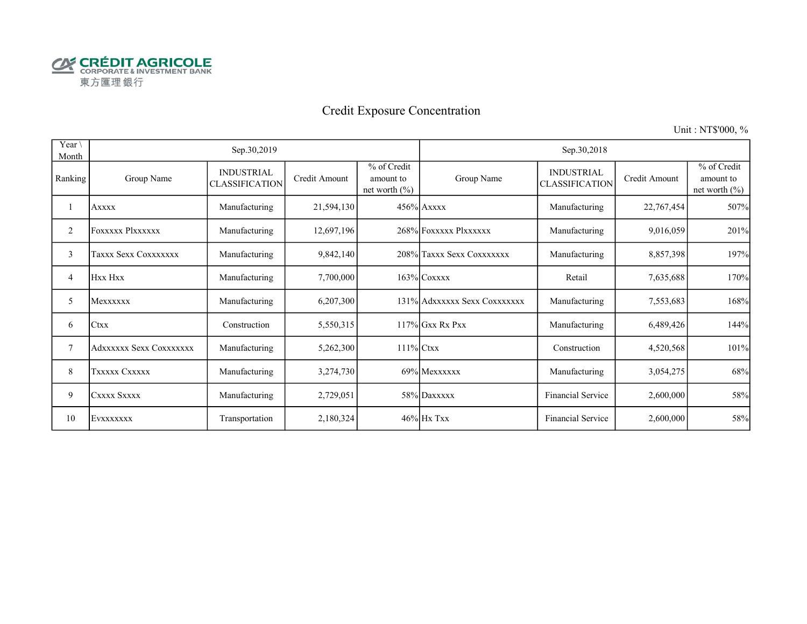

# Credit Exposure Concentration

Unit : NT\$'000, %

| Year \<br>Month |                         | Sep.30,2019                                |               |                                              |                              | Sep.30,2018                                |               |                                               |
|-----------------|-------------------------|--------------------------------------------|---------------|----------------------------------------------|------------------------------|--------------------------------------------|---------------|-----------------------------------------------|
| Ranking         | Group Name              | <b>INDUSTRIAL</b><br><b>CLASSIFICATION</b> | Credit Amount | % of Credit<br>amount to<br>net worth $(\%)$ | Group Name                   | <b>INDUSTRIAL</b><br><b>CLASSIFICATION</b> | Credit Amount | % of Credit<br>amount to<br>net worth $(\% )$ |
|                 | <b>Axxxx</b>            | Manufacturing                              | 21,594,130    |                                              | $456\%$ Axxxx                | Manufacturing                              | 22,767,454    | 507%                                          |
| 2               | <b>FOXXXXX Plxxxxxx</b> | Manufacturing                              | 12,697,196    |                                              | 268% FOXXXXX PlXXXXXX        | Manufacturing                              | 9,016,059     | 201%                                          |
| 3               | Taxxx Sexx Coxxxxxxx    | Manufacturing                              | 9,842,140     |                                              | 208% Taxxx Sexx Coxxxxxxx    | Manufacturing                              | 8,857,398     | 197%                                          |
| $\overline{4}$  | Hxx Hxx                 | Manufacturing                              | 7,700,000     |                                              | $163\%$ Coxxxx               | Retail                                     | 7,635,688     | 170%                                          |
| 5               | Mexxxxxx                | Manufacturing                              | 6,207,300     |                                              | 131% Adxxxxxx Sexx Coxxxxxxx | Manufacturing                              | 7,553,683     | 168%                                          |
| 6               | <b>Ctxx</b>             | Construction                               | 5,550,315     |                                              | $117\%$ Gxx Rx Pxx           | Manufacturing                              | 6,489,426     | 144%                                          |
| 7               | Adxxxxxx Sexx Coxxxxxxx | Manufacturing                              | 5,262,300     | $111\%$ Ctxx                                 |                              | Construction                               | 4,520,568     | 101%                                          |
| 8               | TXXXXX CXXXXX           | Manufacturing                              | 3,274,730     |                                              | 69% Mexxxxxx                 | Manufacturing                              | 3,054,275     | 68%                                           |
| 9               | CXXXX SXXXX             | Manufacturing                              | 2,729,051     |                                              | 58% Daxxxxx                  | Financial Service                          | 2,600,000     | 58%                                           |
| 10              | EVXXXXXXX               | Transportation                             | 2,180,324     |                                              | $46\%$ Hx Txx                | Financial Service                          | 2,600,000     | 58%                                           |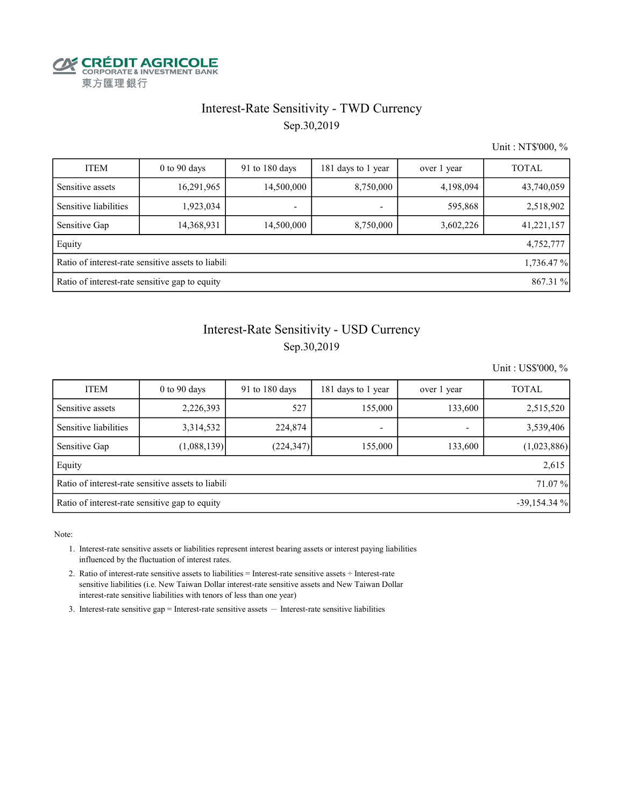

#### Interest-Rate Sensitivity - TWD Currency

Sep.30,2019

Unit : NT\$'000, %

| <b>ITEM</b>                                                | $0$ to 90 days                                                   | $91$ to $180$ days | 181 days to 1 year | over 1 year | <b>TOTAL</b> |  |  |  |  |  |
|------------------------------------------------------------|------------------------------------------------------------------|--------------------|--------------------|-------------|--------------|--|--|--|--|--|
| Sensitive assets                                           | 16,291,965                                                       | 14,500,000         | 8,750,000          | 4,198,094   | 43,740,059   |  |  |  |  |  |
| Sensitive liabilities                                      | 1,923,034                                                        |                    | ٠                  | 595,868     | 2,518,902    |  |  |  |  |  |
| Sensitive Gap                                              | 14,368,931                                                       | 14,500,000         | 8,750,000          | 3,602,226   | 41,221,157   |  |  |  |  |  |
| Equity                                                     |                                                                  |                    |                    |             | 4,752,777    |  |  |  |  |  |
|                                                            | Ratio of interest-rate sensitive assets to liabili<br>1,736.47 % |                    |                    |             |              |  |  |  |  |  |
| Ratio of interest-rate sensitive gap to equity<br>867.31 % |                                                                  |                    |                    |             |              |  |  |  |  |  |

### Interest-Rate Sensitivity - USD Currency

#### Sep.30,2019

Unit : US\$'000, %

| <b>ITEM</b>                                                     | $0$ to $90$ days                                             | 91 to $180$ days | 181 days to 1 year | over 1 year | <b>TOTAL</b> |  |  |  |  |  |
|-----------------------------------------------------------------|--------------------------------------------------------------|------------------|--------------------|-------------|--------------|--|--|--|--|--|
| Sensitive assets                                                | 2,226,393                                                    | 527              | 155,000            | 133,600     | 2,515,520    |  |  |  |  |  |
| Sensitive liabilities                                           | 3,314,532                                                    | 224,874          | -                  |             | 3,539,406    |  |  |  |  |  |
| Sensitive Gap                                                   | (1,088,139)                                                  | (224, 347)       | 155,000            | 133,600     | (1,023,886)  |  |  |  |  |  |
| Equity                                                          |                                                              |                  |                    |             | 2,615        |  |  |  |  |  |
|                                                                 | Ratio of interest-rate sensitive assets to liabili<br>71.07% |                  |                    |             |              |  |  |  |  |  |
| Ratio of interest-rate sensitive gap to equity<br>$-39,154.34%$ |                                                              |                  |                    |             |              |  |  |  |  |  |

Note:

 1. Interest-rate sensitive assets or liabilities represent interest bearing assets or interest paying liabilities influenced by the fluctuation of interest rates.

 2. Ratio of interest-rate sensitive assets to liabilities = Interest-rate sensitive assets ÷ Interest-rate sensitive liabilities (i.e. New Taiwan Dollar interest-rate sensitive assets and New Taiwan Dollar interest-rate sensitive liabilities with tenors of less than one year)

3. Interest-rate sensitive gap = Interest-rate sensitive assets  $-$  Interest-rate sensitive liabilities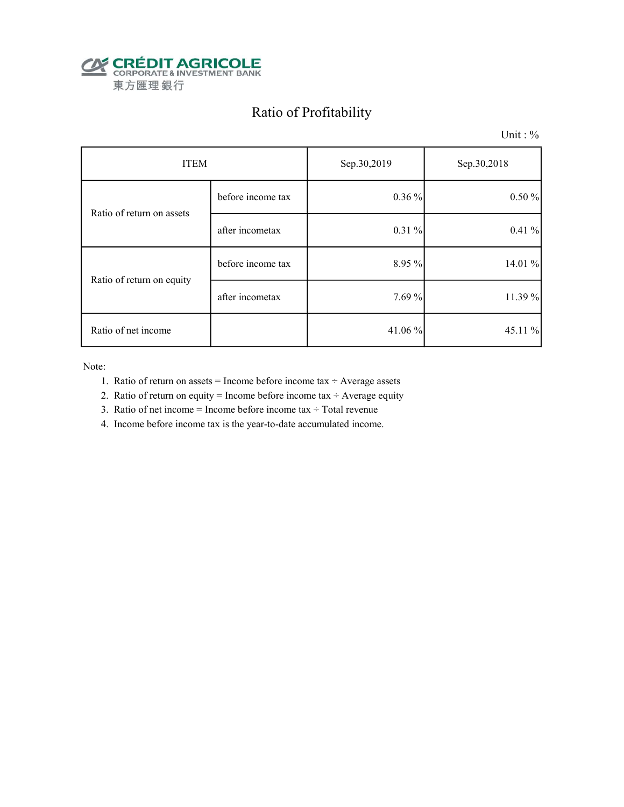

# Ratio of Profitability

Unit : %

| <b>ITEM</b>               |                   | Sep.30,2019 | Sep.30,2018 |  |
|---------------------------|-------------------|-------------|-------------|--|
| Ratio of return on assets | before income tax | $0.36\%$    | 0.50%       |  |
|                           | after incometax   | $0.31\%$    | 0.41%       |  |
| Ratio of return on equity | before income tax | 8.95 %      | 14.01 %     |  |
|                           | after incometax   | 7.69 %      | 11.39 %     |  |
| Ratio of net income       |                   | 41.06%      | 45.11 %     |  |

Note:

- 1. Ratio of return on assets = Income before income tax  $\div$  Average assets
- 2. Ratio of return on equity = Income before income tax  $\div$  Average equity
- 3. Ratio of net income = Income before income tax  $\div$  Total revenue
- 4. Income before income tax is the year-to-date accumulated income.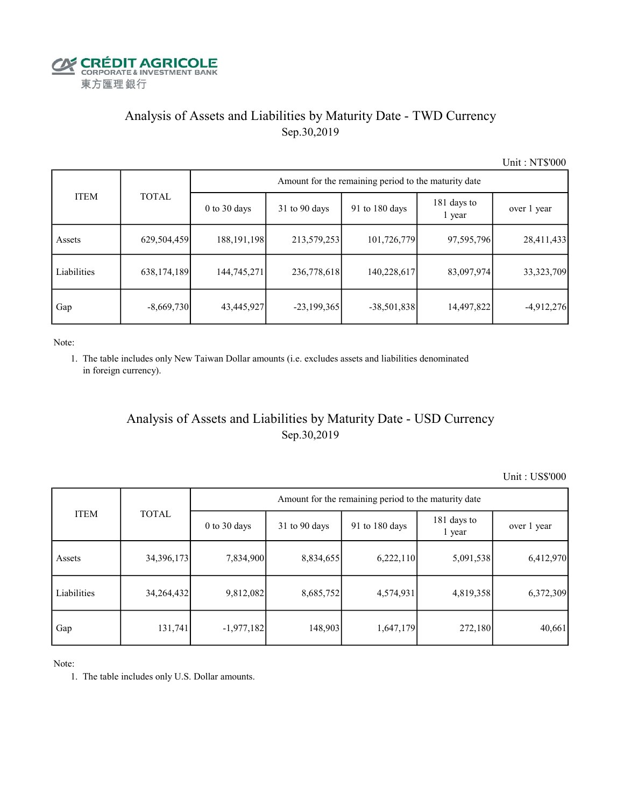

### Analysis of Assets and Liabilities by Maturity Date - TWD Currency Sep.30,2019

Unit : NT\$'000

|             |              | Amount for the remaining period to the maturity date |                 |                |                       |              |  |  |  |  |
|-------------|--------------|------------------------------------------------------|-----------------|----------------|-----------------------|--------------|--|--|--|--|
| <b>ITEM</b> | <b>TOTAL</b> | $0$ to $30$ days                                     | $31$ to 90 days | 91 to 180 days | 181 days to<br>1 year | over 1 year  |  |  |  |  |
| Assets      | 629,504,459  | 188, 191, 198                                        | 213,579,253     | 101,726,779    | 97,595,796            | 28,411,433   |  |  |  |  |
| Liabilities | 638,174,189  | 144,745,271                                          | 236,778,618     | 140,228,617    | 83,097,974            | 33, 323, 709 |  |  |  |  |
| Gap         | $-8,669,730$ | 43,445,927                                           | $-23,199,365$   | $-38,501,838$  | 14,497,822            | $-4,912,276$ |  |  |  |  |

Note:

 1. The table includes only New Taiwan Dollar amounts (i.e. excludes assets and liabilities denominated in foreign currency).

#### Analysis of Assets and Liabilities by Maturity Date - USD Currency Sep.30,2019

Unit : US\$'000

|             | <b>TOTAL</b> | Amount for the remaining period to the maturity date |                 |                |                       |             |  |  |
|-------------|--------------|------------------------------------------------------|-----------------|----------------|-----------------------|-------------|--|--|
| <b>ITEM</b> |              | $0$ to $30$ days                                     | $31$ to 90 days | 91 to 180 days | 181 days to<br>1 year | over 1 year |  |  |
| Assets      | 34, 396, 173 | 7,834,900                                            | 8,834,655       | 6,222,110      | 5,091,538             | 6,412,970   |  |  |
| Liabilities | 34,264,432   | 9,812,082                                            | 8,685,752       | 4,574,931      | 4,819,358             | 6,372,309   |  |  |
| Gap         | 131,741      | $-1,977,182$                                         | 148,903         | 1,647,179      | 272,180               | 40,661      |  |  |

Note:

1. The table includes only U.S. Dollar amounts.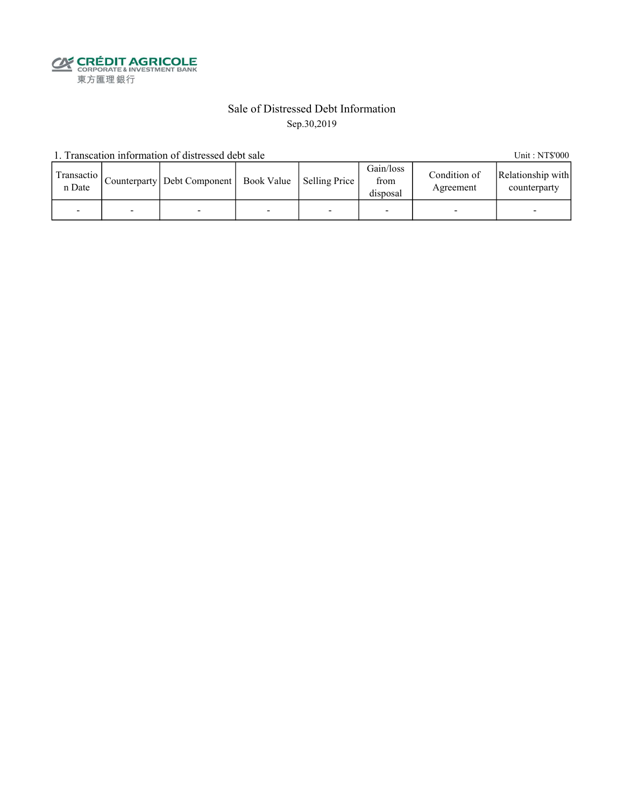**CALEDIT AGRICOLE**<br>
CORPORATE & INVESTMENT BANK<br>
東方匯理銀行

#### Sale of Distressed Debt Information Sep.30,2019

1. Transcation information of distressed debt sale Unit: NT\$'000

| Transactio<br>n Date |   | Counterparty   Debt Component   Book Value   Selling Price |   | Gain/loss<br>from<br>disposal | Condition of<br>Agreement | Relationship with<br>counterparty |
|----------------------|---|------------------------------------------------------------|---|-------------------------------|---------------------------|-----------------------------------|
|                      | - |                                                            | - |                               |                           | -                                 |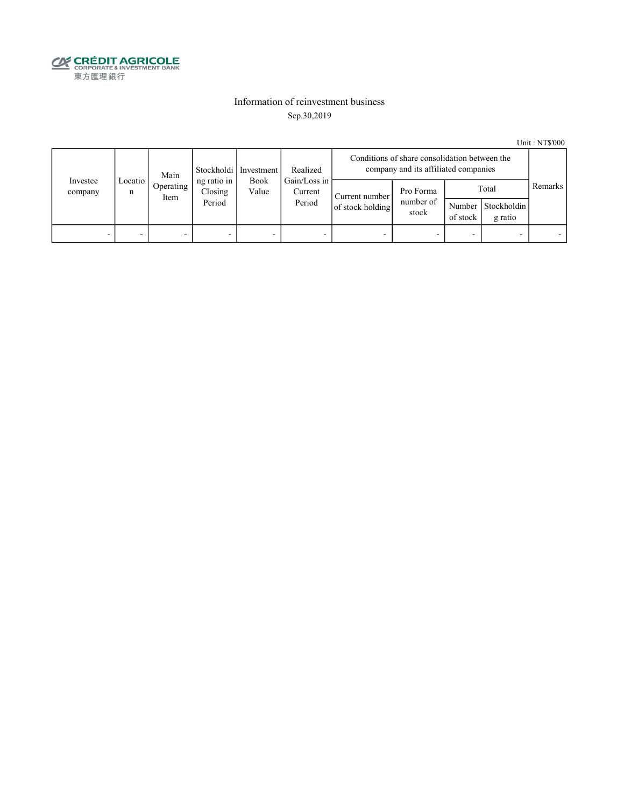

#### Information of reinvestment business Sep.30,2019

Unit : NT\$'000

|                          | Main         |                          |                                  | Realized<br>Stockholdi   Investment |                                   | Conditions of share consolidation between the<br>company and its affiliated companies |                                 |                    |                                 |         |
|--------------------------|--------------|--------------------------|----------------------------------|-------------------------------------|-----------------------------------|---------------------------------------------------------------------------------------|---------------------------------|--------------------|---------------------------------|---------|
| Investee<br>company      | Locatio<br>n | Operating<br>Item        | ng ratio in<br>Closing<br>Period | Book<br>Value                       | Gain/Loss in<br>Current<br>Period | Current number<br>of stock holding                                                    | Pro Forma<br>number of<br>stock | Number<br>of stock | Total<br>Stockholdin<br>g ratio | Remarks |
| $\overline{\phantom{0}}$ |              | $\overline{\phantom{0}}$ |                                  | -                                   |                                   |                                                                                       | -                               |                    |                                 |         |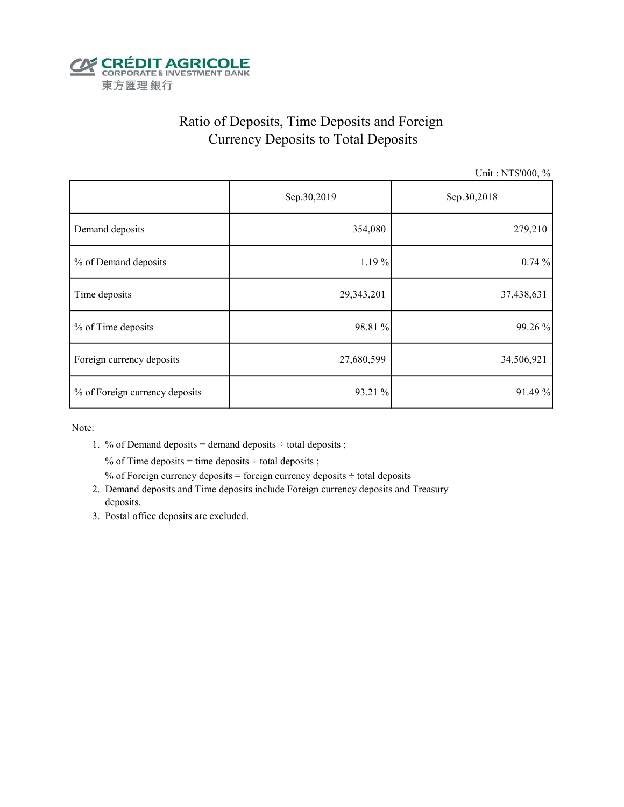

# Ratio of Deposits, Time Deposits and Foreign Currency Deposits to Total Deposits

Unit : NT\$'000, %

|                                | Sep.30,2019 | Sep.30,2018 |  |  |
|--------------------------------|-------------|-------------|--|--|
| Demand deposits                | 354,080     | 279,210     |  |  |
| % of Demand deposits           | 1.19%       | 0.74%       |  |  |
| Time deposits                  | 29,343,201  | 37,438,631  |  |  |
| % of Time deposits             | 98.81 %     | 99.26 %     |  |  |
| Foreign currency deposits      | 27,680,599  | 34,506,921  |  |  |
| % of Foreign currency deposits | 93.21 %     | 91.49 %     |  |  |

Note:

1. % of Demand deposits = demand deposits  $\div$  total deposits ;

% of Time deposits = time deposits  $\div$  total deposits ;

% of Foreign currency deposits = foreign currency deposits  $\div$  total deposits

- 2. Demand deposits and Time deposits include Foreign currency deposits and Treasury deposits.
- 3. Postal office deposits are excluded.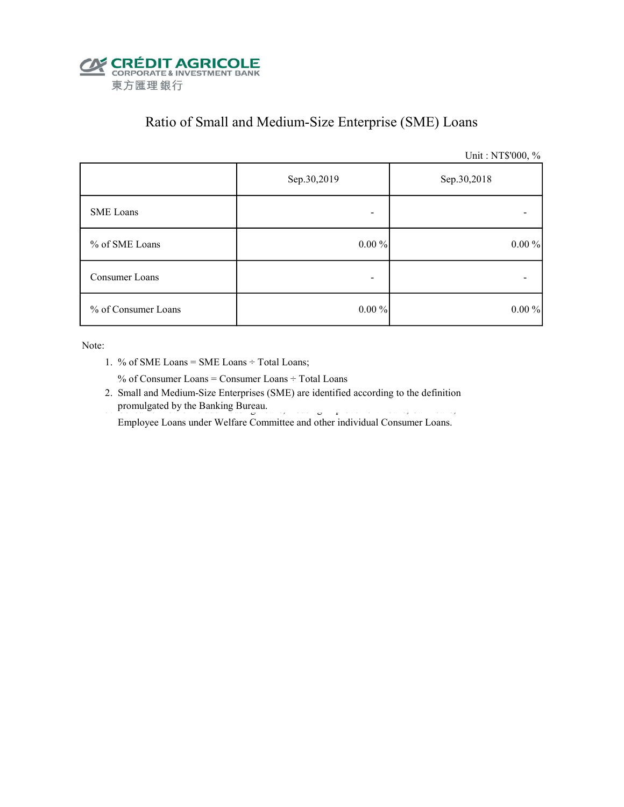

## Ratio of Small and Medium-Size Enterprise (SME) Loans

Unit : NT\$'000, %

|                     | Sep.30,2019<br>Sep.30,2018 |          |  |
|---------------------|----------------------------|----------|--|
| SME Loans           | -                          |          |  |
| % of SME Loans      | $0.00\%$                   | $0.00\%$ |  |
| Consumer Loans      | -                          |          |  |
| % of Consumer Loans | $0.00\%$                   | $0.00\%$ |  |

Note:

1. % of SME Loans = SME Loans ÷ Total Loans;

% of Consumer Loans = Consumer Loans ÷ Total Loans

 2. Small and Medium-Size Enterprises (SME) are identified according to the definition promulgated by the Banking Bureau.

Employee Loans under Welfare Committee and other individual Consumer Loans.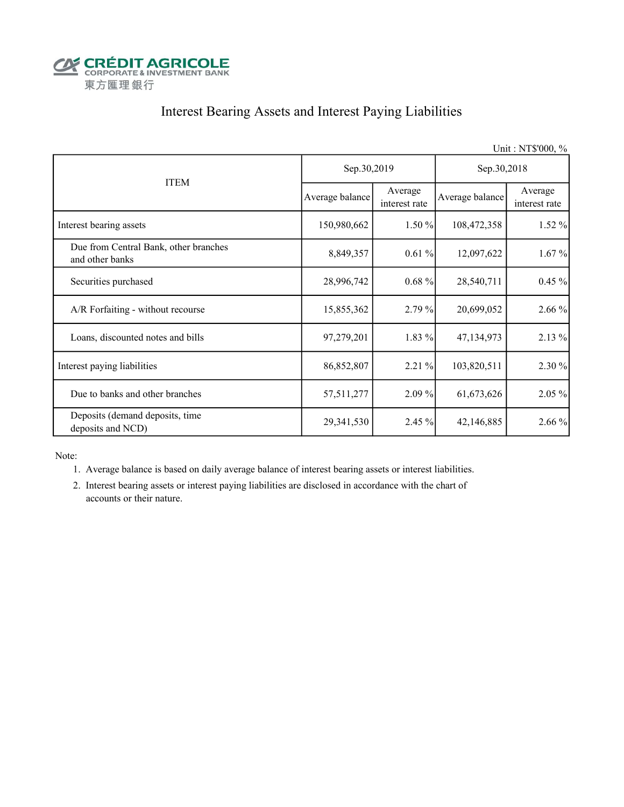

### Interest Bearing Assets and Interest Paying Liabilities

|                                                          |                 |                          |                 | Unit: NT\$'000, %        |  |
|----------------------------------------------------------|-----------------|--------------------------|-----------------|--------------------------|--|
|                                                          | Sep.30,2019     |                          | Sep.30,2018     |                          |  |
| <b>ITEM</b>                                              | Average balance | Average<br>interest rate | Average balance | Average<br>interest rate |  |
| Interest bearing assets                                  | 150,980,662     | 1.50%                    | 108,472,358     | $1.52 \%$                |  |
| Due from Central Bank, other branches<br>and other banks | 8,849,357       | 0.61%                    | 12,097,622      | 1.67%                    |  |
| Securities purchased                                     | 28,996,742      | $0.68 \%$                | 28,540,711      | $0.45 \%$                |  |
| A/R Forfaiting - without recourse                        | 15,855,362      | 2.79%                    | 20,699,052      | 2.66 %                   |  |
| Loans, discounted notes and bills                        | 97,279,201      | $1.83\%$                 | 47,134,973      | 2.13%                    |  |
| Interest paying liabilities                              | 86,852,807      | 2.21 %                   | 103,820,511     | 2.30 %                   |  |
| Due to banks and other branches                          | 57,511,277      | 2.09%                    | 61, 673, 626    | 2.05 %                   |  |
| Deposits (demand deposits, time<br>deposits and NCD)     | 29,341,530      | 2.45 %                   | 42,146,885      | 2.66 %                   |  |

Note:

- 1. Average balance is based on daily average balance of interest bearing assets or interest liabilities.
- 2. Interest bearing assets or interest paying liabilities are disclosed in accordance with the chart of accounts or their nature.